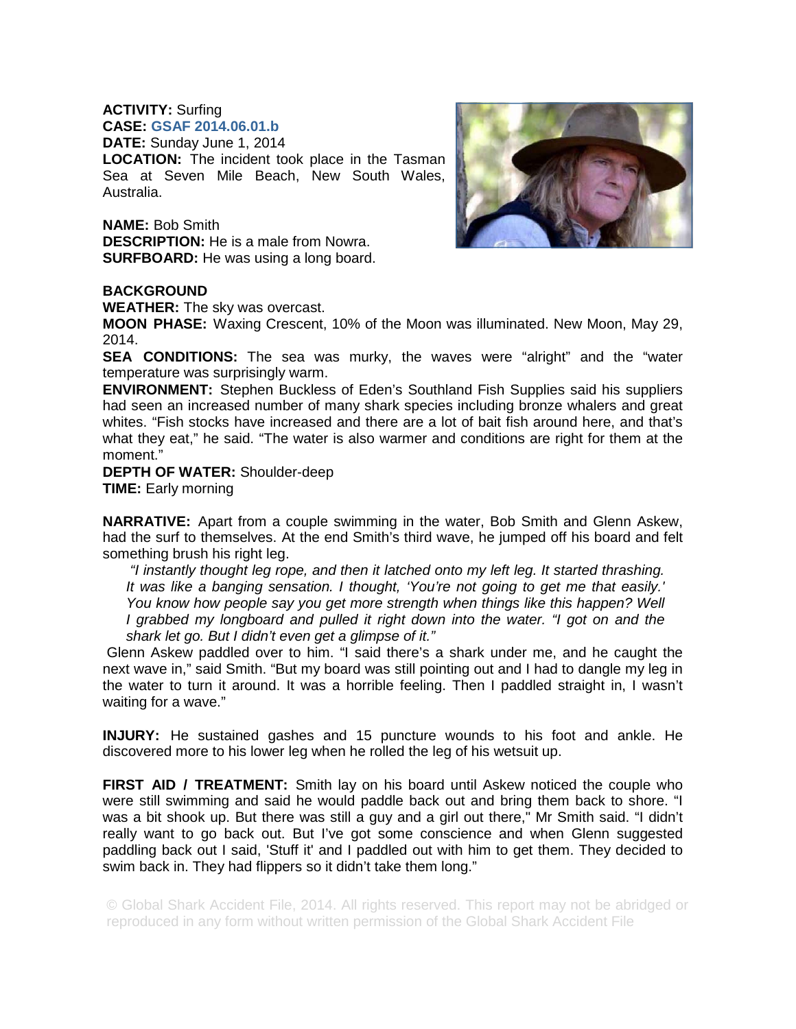## **ACTIVITY:** Surfing **CASE: GSAF 2014.06.01.b**

**DATE:** Sunday June 1, 2014

**LOCATION:** The incident took place in the Tasman Sea at Seven Mile Beach, New South Wales, Australia.

**NAME:** Bob Smith **DESCRIPTION:** He is a male from Nowra. **SURFBOARD:** He was using a long board.



## **BACKGROUND**

**WEATHER:** The sky was overcast.

**MOON PHASE:** Waxing Crescent, 10% of the Moon was illuminated. New Moon, May 29, 2014.

**SEA CONDITIONS:** The sea was murky, the waves were "alright" and the "water temperature was surprisingly warm.

**ENVIRONMENT:** Stephen Buckless of Eden's Southland Fish Supplies said his suppliers had seen an increased number of many shark species including bronze whalers and great whites. "Fish stocks have increased and there are a lot of bait fish around here, and that's what they eat," he said. "The water is also warmer and conditions are right for them at the moment."

**DEPTH OF WATER:** Shoulder-deep **TIME:** Early morning

**NARRATIVE:** Apart from a couple swimming in the water, Bob Smith and Glenn Askew, had the surf to themselves. At the end Smith's third wave, he jumped off his board and felt something brush his right leg.

 *"I instantly thought leg rope, and then it latched onto my left leg. It started thrashing. It was like a banging sensation. I thought, 'You're not going to get me that easily.'*  You know how people say you get more strength when things like this happen? Well *I grabbed my longboard and pulled it right down into the water. "I got on and the shark let go. But I didn't even get a glimpse of it."* 

 Glenn Askew paddled over to him. "I said there's a shark under me, and he caught the next wave in," said Smith. "But my board was still pointing out and I had to dangle my leg in the water to turn it around. It was a horrible feeling. Then I paddled straight in, I wasn't waiting for a wave."

**INJURY:** He sustained gashes and 15 puncture wounds to his foot and ankle. He discovered more to his lower leg when he rolled the leg of his wetsuit up.

**FIRST AID / TREATMENT:** Smith lay on his board until Askew noticed the couple who were still swimming and said he would paddle back out and bring them back to shore. "I was a bit shook up. But there was still a guy and a girl out there," Mr Smith said. "I didn't really want to go back out. But I've got some conscience and when Glenn suggested paddling back out I said, 'Stuff it' and I paddled out with him to get them. They decided to swim back in. They had flippers so it didn't take them long."

© Global Shark Accident File, 2014. All rights reserved. This report may not be abridged or reproduced in any form without written permission of the Global Shark Accident File